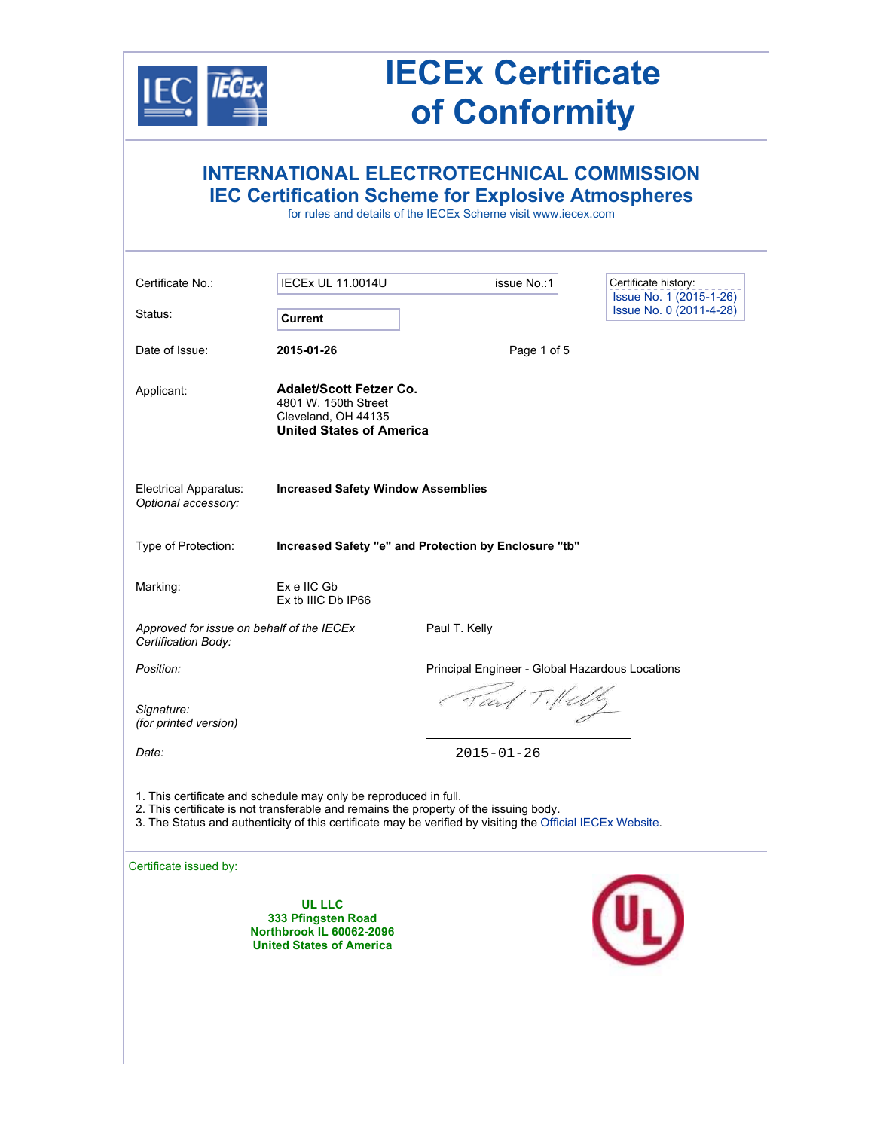

## **IECEx Certificate of Conformity**

| <b>INTERNATIONAL ELECTROTECHNICAL COMMISSION</b><br><b>IEC Certification Scheme for Explosive Atmospheres</b><br>for rules and details of the IECEx Scheme visit www.iecex.com                                                                                          |                                                 |                                                    |  |  |
|-------------------------------------------------------------------------------------------------------------------------------------------------------------------------------------------------------------------------------------------------------------------------|-------------------------------------------------|----------------------------------------------------|--|--|
| <b>IECEX UL 11.0014U</b>                                                                                                                                                                                                                                                | issue No.:1                                     | Certificate history:                               |  |  |
| <b>Current</b>                                                                                                                                                                                                                                                          |                                                 | Issue No. 1 (2015-1-26)<br>Issue No. 0 (2011-4-28) |  |  |
| 2015-01-26                                                                                                                                                                                                                                                              | Page 1 of 5                                     |                                                    |  |  |
| <b>Adalet/Scott Fetzer Co.</b><br>4801 W. 150th Street<br>Cleveland, OH 44135<br><b>United States of America</b>                                                                                                                                                        |                                                 |                                                    |  |  |
| <b>Increased Safety Window Assemblies</b>                                                                                                                                                                                                                               |                                                 |                                                    |  |  |
| Increased Safety "e" and Protection by Enclosure "tb"                                                                                                                                                                                                                   |                                                 |                                                    |  |  |
| Ex e IIC Gb<br>Ex tb IIIC Db IP66                                                                                                                                                                                                                                       |                                                 |                                                    |  |  |
| Approved for issue on behalf of the IECEx<br>Certification Body:                                                                                                                                                                                                        |                                                 |                                                    |  |  |
|                                                                                                                                                                                                                                                                         | Principal Engineer - Global Hazardous Locations |                                                    |  |  |
|                                                                                                                                                                                                                                                                         |                                                 |                                                    |  |  |
|                                                                                                                                                                                                                                                                         | $2015 - 01 - 26$                                |                                                    |  |  |
| 1. This certificate and schedule may only be reproduced in full.<br>2. This certificate is not transferable and remains the property of the issuing body.<br>3. The Status and authenticity of this certificate may be verified by visiting the Official IECEx Website. |                                                 |                                                    |  |  |
|                                                                                                                                                                                                                                                                         |                                                 |                                                    |  |  |
| <b>UL LLC</b><br>333 Pfingsten Road<br><b>Northbrook IL 60062-2096</b><br><b>United States of America</b>                                                                                                                                                               |                                                 |                                                    |  |  |
|                                                                                                                                                                                                                                                                         |                                                 | Paul T. Kelly<br>Tand Tillely                      |  |  |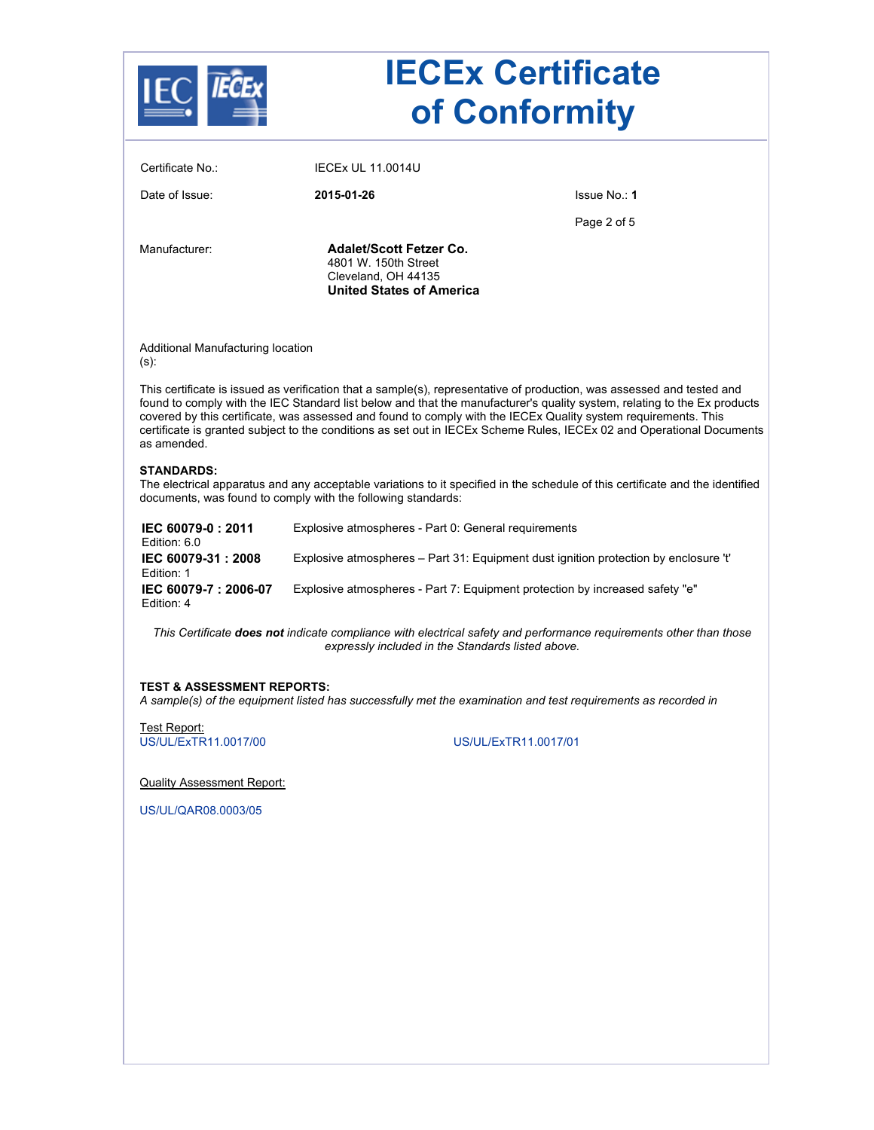|                                              |                                                                                                                  | <b>IECEx Certificate</b><br>of Conformity                                                                                                                                                                                                                                                                                                                                                                                                                                                     |  |
|----------------------------------------------|------------------------------------------------------------------------------------------------------------------|-----------------------------------------------------------------------------------------------------------------------------------------------------------------------------------------------------------------------------------------------------------------------------------------------------------------------------------------------------------------------------------------------------------------------------------------------------------------------------------------------|--|
| Certificate No.:                             | <b>IECEX UL 11.0014U</b>                                                                                         |                                                                                                                                                                                                                                                                                                                                                                                                                                                                                               |  |
| Date of Issue:                               | 2015-01-26                                                                                                       | Issue No.: 1                                                                                                                                                                                                                                                                                                                                                                                                                                                                                  |  |
|                                              |                                                                                                                  | Page 2 of 5                                                                                                                                                                                                                                                                                                                                                                                                                                                                                   |  |
| Manufacturer:                                | <b>Adalet/Scott Fetzer Co.</b><br>4801 W. 150th Street<br>Cleveland, OH 44135<br><b>United States of America</b> |                                                                                                                                                                                                                                                                                                                                                                                                                                                                                               |  |
| Additional Manufacturing location<br>$(s)$ : |                                                                                                                  |                                                                                                                                                                                                                                                                                                                                                                                                                                                                                               |  |
| as amended.                                  |                                                                                                                  | This certificate is issued as verification that a sample(s), representative of production, was assessed and tested and<br>found to comply with the IEC Standard list below and that the manufacturer's quality system, relating to the Ex products<br>covered by this certificate, was assessed and found to comply with the IECEx Quality system requirements. This<br>certificate is granted subject to the conditions as set out in IECEx Scheme Rules, IECEx 02 and Operational Documents |  |
| <b>STANDARDS:</b>                            | documents, was found to comply with the following standards:                                                     | The electrical apparatus and any acceptable variations to it specified in the schedule of this certificate and the identified                                                                                                                                                                                                                                                                                                                                                                 |  |
| IEC 60079-0:2011<br>Edition: 6.0             | Explosive atmospheres - Part 0: General requirements                                                             |                                                                                                                                                                                                                                                                                                                                                                                                                                                                                               |  |
| IEC 60079-31: 2008<br>Edition: 1             | Explosive atmospheres – Part 31: Equipment dust ignition protection by enclosure 't'                             |                                                                                                                                                                                                                                                                                                                                                                                                                                                                                               |  |
| IEC 60079-7: 2006-07<br>Edition: 4           |                                                                                                                  | Explosive atmospheres - Part 7: Equipment protection by increased safety "e"                                                                                                                                                                                                                                                                                                                                                                                                                  |  |
|                                              |                                                                                                                  | This Certificate does not indicate compliance with electrical safety and performance requirements other than those<br>expressly included in the Standards listed above.                                                                                                                                                                                                                                                                                                                       |  |
| <b>TEST &amp; ASSESSMENT REPORTS:</b>        |                                                                                                                  | A sample(s) of the equipment listed has successfully met the examination and test requirements as recorded in                                                                                                                                                                                                                                                                                                                                                                                 |  |
| Test Report:<br>US/UL/ExTR11.0017/00         |                                                                                                                  | US/UL/ExTR11.0017/01                                                                                                                                                                                                                                                                                                                                                                                                                                                                          |  |
|                                              |                                                                                                                  |                                                                                                                                                                                                                                                                                                                                                                                                                                                                                               |  |
| <b>Quality Assessment Report:</b>            |                                                                                                                  |                                                                                                                                                                                                                                                                                                                                                                                                                                                                                               |  |
| US/UL/QAR08.0003/05                          |                                                                                                                  |                                                                                                                                                                                                                                                                                                                                                                                                                                                                                               |  |
|                                              |                                                                                                                  |                                                                                                                                                                                                                                                                                                                                                                                                                                                                                               |  |
|                                              |                                                                                                                  |                                                                                                                                                                                                                                                                                                                                                                                                                                                                                               |  |
|                                              |                                                                                                                  |                                                                                                                                                                                                                                                                                                                                                                                                                                                                                               |  |
|                                              |                                                                                                                  |                                                                                                                                                                                                                                                                                                                                                                                                                                                                                               |  |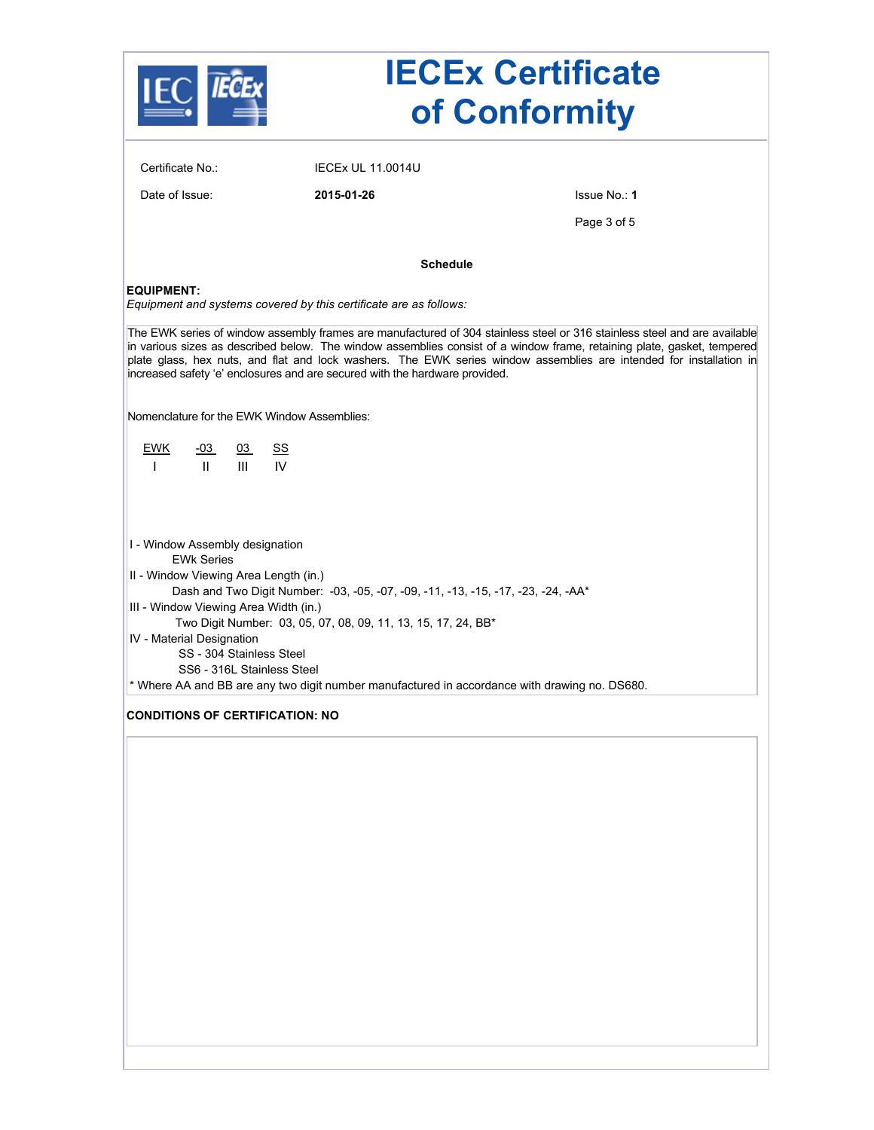|                                                                                                                                                                                                                                                                                                                                                                                                                                                            |                                                                                               | <b>IECEx Certificate</b><br>of Conformity |  |  |
|------------------------------------------------------------------------------------------------------------------------------------------------------------------------------------------------------------------------------------------------------------------------------------------------------------------------------------------------------------------------------------------------------------------------------------------------------------|-----------------------------------------------------------------------------------------------|-------------------------------------------|--|--|
| Certificate No.:                                                                                                                                                                                                                                                                                                                                                                                                                                           | <b>IECEX UL 11,0014U</b>                                                                      |                                           |  |  |
| Date of Issue:                                                                                                                                                                                                                                                                                                                                                                                                                                             | 2015-01-26                                                                                    | Issue No.: 1                              |  |  |
|                                                                                                                                                                                                                                                                                                                                                                                                                                                            |                                                                                               | Page 3 of 5                               |  |  |
|                                                                                                                                                                                                                                                                                                                                                                                                                                                            | <b>Schedule</b>                                                                               |                                           |  |  |
| <b>EQUIPMENT:</b>                                                                                                                                                                                                                                                                                                                                                                                                                                          | Equipment and systems covered by this certificate are as follows:                             |                                           |  |  |
| The EWK series of window assembly frames are manufactured of 304 stainless steel or 316 stainless steel and are available<br>in various sizes as described below. The window assemblies consist of a window frame, retaining plate, gasket, tempered<br>plate glass, hex nuts, and flat and lock washers. The EWK series window assemblies are intended for installation in<br>increased safety 'e' enclosures and are secured with the hardware provided. |                                                                                               |                                           |  |  |
| Nomenclature for the EWK Window Assemblies:                                                                                                                                                                                                                                                                                                                                                                                                                |                                                                                               |                                           |  |  |
| <b>EWK</b><br>$-03$<br>03<br>III<br>$\mathbf{H}$<br>$\mathbf{I}$                                                                                                                                                                                                                                                                                                                                                                                           | <u>ss</u><br>IV                                                                               |                                           |  |  |
| I - Window Assembly designation<br><b>EWK Series</b><br>II - Window Viewing Area Length (in.)<br>Dash and Two Digit Number: -03, -05, -07, -09, -11, -13, -15, -17, -23, -24, -AA*<br>III - Window Viewing Area Width (in.)<br>Two Digit Number: 03, 05, 07, 08, 09, 11, 13, 15, 17, 24, BB*                                                                                                                                                               |                                                                                               |                                           |  |  |
| IV - Material Designation<br>SS - 304 Stainless Steel<br>SS6 - 316L Stainless Steel                                                                                                                                                                                                                                                                                                                                                                        |                                                                                               |                                           |  |  |
|                                                                                                                                                                                                                                                                                                                                                                                                                                                            | * Where AA and BB are any two digit number manufactured in accordance with drawing no. DS680. |                                           |  |  |
| <b>CONDITIONS OF CERTIFICATION: NO</b>                                                                                                                                                                                                                                                                                                                                                                                                                     |                                                                                               |                                           |  |  |
|                                                                                                                                                                                                                                                                                                                                                                                                                                                            |                                                                                               |                                           |  |  |
|                                                                                                                                                                                                                                                                                                                                                                                                                                                            |                                                                                               |                                           |  |  |
|                                                                                                                                                                                                                                                                                                                                                                                                                                                            |                                                                                               |                                           |  |  |
|                                                                                                                                                                                                                                                                                                                                                                                                                                                            |                                                                                               |                                           |  |  |
|                                                                                                                                                                                                                                                                                                                                                                                                                                                            |                                                                                               |                                           |  |  |
|                                                                                                                                                                                                                                                                                                                                                                                                                                                            |                                                                                               |                                           |  |  |
|                                                                                                                                                                                                                                                                                                                                                                                                                                                            |                                                                                               |                                           |  |  |
|                                                                                                                                                                                                                                                                                                                                                                                                                                                            |                                                                                               |                                           |  |  |
|                                                                                                                                                                                                                                                                                                                                                                                                                                                            |                                                                                               |                                           |  |  |
|                                                                                                                                                                                                                                                                                                                                                                                                                                                            |                                                                                               |                                           |  |  |
|                                                                                                                                                                                                                                                                                                                                                                                                                                                            |                                                                                               |                                           |  |  |